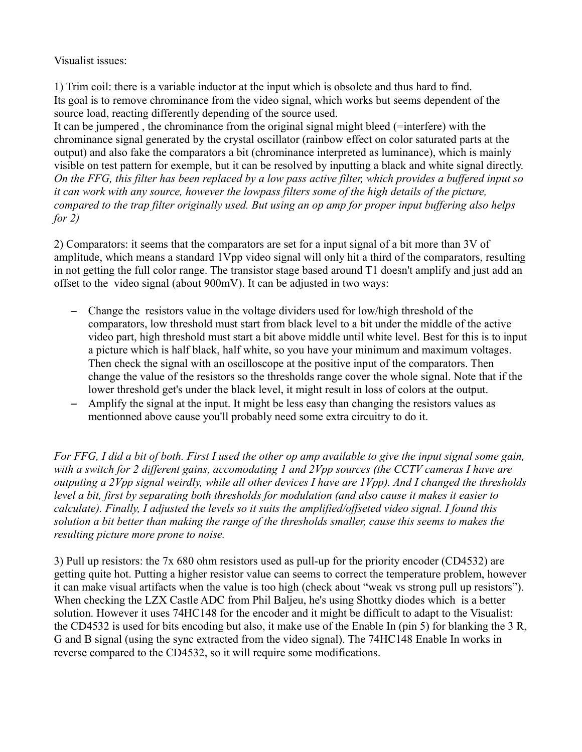## Visualist issues:

1) Trim coil: there is a variable inductor at the input which is obsolete and thus hard to find. Its goal is to remove chrominance from the video signal, which works but seems dependent of the source load, reacting differently depending of the source used.

It can be jumpered , the chrominance from the original signal might bleed (=interfere) with the chrominance signal generated by the crystal oscillator (rainbow effect on color saturated parts at the output) and also fake the comparators a bit (chrominance interpreted as luminance), which is mainly visible on test pattern for exemple, but it can be resolved by inputting a black and white signal directly. *On the FFG, this filter has been replaced by a low pass active filter, which provides a buffered input so it can work with any source, however the lowpass filters some of the high details of the picture, compared to the trap filter originally used. But using an op amp for proper input buffering also helps for 2)*

2) Comparators: it seems that the comparators are set for a input signal of a bit more than 3V of amplitude, which means a standard 1Vpp video signal will only hit a third of the comparators, resulting in not getting the full color range. The transistor stage based around T1 doesn't amplify and just add an offset to the video signal (about 900mV). It can be adjusted in two ways:

- Change the resistors value in the voltage dividers used for low/high threshold of the comparators, low threshold must start from black level to a bit under the middle of the active video part, high threshold must start a bit above middle until white level. Best for this is to input a picture which is half black, half white, so you have your minimum and maximum voltages. Then check the signal with an oscilloscope at the positive input of the comparators. Then change the value of the resistors so the thresholds range cover the whole signal. Note that if the lower threshold get's under the black level, it might result in loss of colors at the output.
- Amplify the signal at the input. It might be less easy than changing the resistors values as mentionned above cause you'll probably need some extra circuitry to do it.

*For FFG, I did a bit of both. First I used the other op amp available to give the input signal some gain, with a switch for 2 different gains, accomodating 1 and 2Vpp sources (the CCTV cameras I have are outputing a 2Vpp signal weirdly, while all other devices I have are 1Vpp). And I changed the thresholds level a bit, first by separating both thresholds for modulation (and also cause it makes it easier to calculate). Finally, I adjusted the levels so it suits the amplified/offseted video signal. I found this solution a bit better than making the range of the thresholds smaller, cause this seems to makes the resulting picture more prone to noise.*

3) Pull up resistors: the 7x 680 ohm resistors used as pull-up for the priority encoder (CD4532) are getting quite hot. Putting a higher resistor value can seems to correct the temperature problem, however it can make visual artifacts when the value is too high (check about "weak vs strong pull up resistors"). When checking the LZX Castle ADC from Phil Baljeu, he's using Shottky diodes which is a better solution. However it uses 74HC148 for the encoder and it might be difficult to adapt to the Visualist: the CD4532 is used for bits encoding but also, it make use of the Enable In (pin 5) for blanking the 3 R, G and B signal (using the sync extracted from the video signal). The 74HC148 Enable In works in reverse compared to the CD4532, so it will require some modifications.